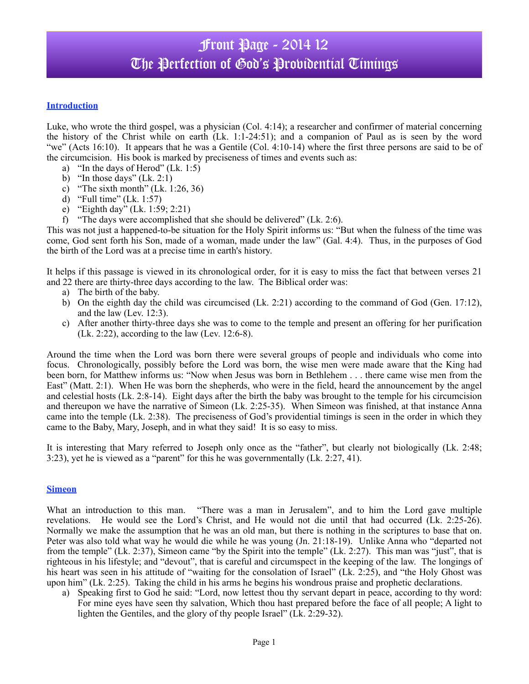# Front Page - 2014 12 The Perfection of God's Probidential Timings

## **Introduction**

Luke, who wrote the third gospel, was a physician (Col. 4:14); a researcher and confirmer of material concerning the history of the Christ while on earth (Lk. 1:1-24:51); and a companion of Paul as is seen by the word "we" (Acts 16:10). It appears that he was a Gentile (Col. 4:10-14) where the first three persons are said to be of the circumcision. His book is marked by preciseness of times and events such as:

- a) "In the days of Herod"  $(Lk. 1:5)$
- b) "In those days"  $(Lk. 2:1)$
- c) "The sixth month" (Lk. 1:26, 36)
- d) "Full time" (Lk. 1:57)
- e) "Eighth day" (Lk. 1:59; 2:21)
- f) "The days were accomplished that she should be delivered" (Lk. 2:6).

This was not just a happened-to-be situation for the Holy Spirit informs us: "But when the fulness of the time was come, God sent forth his Son, made of a woman, made under the law" (Gal. 4:4). Thus, in the purposes of God the birth of the Lord was at a precise time in earth's history.

It helps if this passage is viewed in its chronological order, for it is easy to miss the fact that between verses 21 and 22 there are thirty-three days according to the law. The Biblical order was:

- a) The birth of the baby.
- b) On the eighth day the child was circumcised (Lk. 2:21) according to the command of God (Gen. 17:12), and the law (Lev. 12:3).
- c) After another thirty-three days she was to come to the temple and present an offering for her purification  $(Lk. 2:22)$ , according to the law  $(Lev. 12:6-8)$ .

Around the time when the Lord was born there were several groups of people and individuals who come into focus. Chronologically, possibly before the Lord was born, the wise men were made aware that the King had been born, for Matthew informs us: "Now when Jesus was born in Bethlehem . . . there came wise men from the East" (Matt. 2:1). When He was born the shepherds, who were in the field, heard the announcement by the angel and celestial hosts (Lk. 2:8-14). Eight days after the birth the baby was brought to the temple for his circumcision and thereupon we have the narrative of Simeon (Lk. 2:25-35). When Simeon was finished, at that instance Anna came into the temple (Lk. 2:38). The preciseness of God's providential timings is seen in the order in which they came to the Baby, Mary, Joseph, and in what they said! It is so easy to miss.

It is interesting that Mary referred to Joseph only once as the "father", but clearly not biologically (Lk. 2:48; 3:23), yet he is viewed as a "parent" for this he was governmentally (Lk. 2:27, 41).

## **Simeon**

What an introduction to this man. "There was a man in Jerusalem", and to him the Lord gave multiple revelations. He would see the Lord's Christ, and He would not die until that had occurred (Lk. 2:25-26). Normally we make the assumption that he was an old man, but there is nothing in the scriptures to base that on. Peter was also told what way he would die while he was young (Jn. 21:18-19). Unlike Anna who "departed not from the temple" (Lk. 2:37), Simeon came "by the Spirit into the temple" (Lk. 2:27). This man was "just", that is righteous in his lifestyle; and "devout", that is careful and circumspect in the keeping of the law. The longings of his heart was seen in his attitude of "waiting for the consolation of Israel" (Lk. 2:25), and "the Holy Ghost was upon him" (Lk. 2:25). Taking the child in his arms he begins his wondrous praise and prophetic declarations.

a) Speaking first to God he said: "Lord, now lettest thou thy servant depart in peace, according to thy word: For mine eyes have seen thy salvation, Which thou hast prepared before the face of all people; A light to lighten the Gentiles, and the glory of thy people Israel" (Lk. 2:29-32).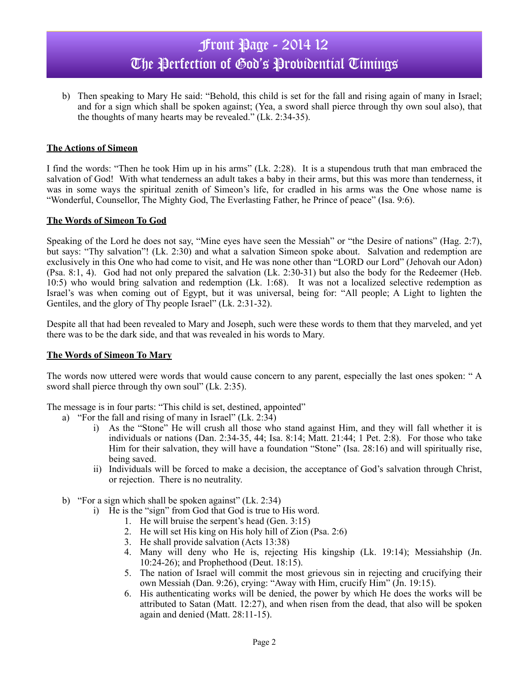# Front Page - 2014 12 The Perfection of God's Probidential Timings

b) Then speaking to Mary He said: "Behold, this child is set for the fall and rising again of many in Israel; and for a sign which shall be spoken against; (Yea, a sword shall pierce through thy own soul also), that the thoughts of many hearts may be revealed." (Lk. 2:34-35).

## **The Actions of Simeon**

I find the words: "Then he took Him up in his arms" (Lk. 2:28). It is a stupendous truth that man embraced the salvation of God! With what tenderness an adult takes a baby in their arms, but this was more than tenderness, it was in some ways the spiritual zenith of Simeon's life, for cradled in his arms was the One whose name is "Wonderful, Counsellor, The Mighty God, The Everlasting Father, he Prince of peace" (Isa. 9:6).

## **The Words of Simeon To God**

Speaking of the Lord he does not say, "Mine eyes have seen the Messiah" or "the Desire of nations" (Hag. 2:7), but says: "Thy salvation"! (Lk. 2:30) and what a salvation Simeon spoke about. Salvation and redemption are exclusively in this One who had come to visit, and He was none other than "LORD our Lord" (Jehovah our Adon) (Psa. 8:1, 4). God had not only prepared the salvation (Lk. 2:30-31) but also the body for the Redeemer (Heb. 10:5) who would bring salvation and redemption (Lk. 1:68). It was not a localized selective redemption as Israel's was when coming out of Egypt, but it was universal, being for: "All people; A Light to lighten the Gentiles, and the glory of Thy people Israel" (Lk. 2:31-32).

Despite all that had been revealed to Mary and Joseph, such were these words to them that they marveled, and yet there was to be the dark side, and that was revealed in his words to Mary.

## **The Words of Simeon To Mary**

The words now uttered were words that would cause concern to any parent, especially the last ones spoken: " A sword shall pierce through thy own soul" (Lk. 2:35).

The message is in four parts: "This child is set, destined, appointed"

- a) "For the fall and rising of many in Israel"  $(Lk, 2:34)$ 
	- i) As the "Stone" He will crush all those who stand against Him, and they will fall whether it is individuals or nations (Dan. 2:34-35, 44; Isa. 8:14; Matt. 21:44; 1 Pet. 2:8). For those who take Him for their salvation, they will have a foundation "Stone" (Isa. 28:16) and will spiritually rise, being saved.
	- ii) Individuals will be forced to make a decision, the acceptance of God's salvation through Christ, or rejection. There is no neutrality.
	- b) "For a sign which shall be spoken against" (Lk. 2:34)
		- i) He is the "sign" from God that God is true to His word.
			- 1. He will bruise the serpent's head (Gen. 3:15)
			- 2. He will set His king on His holy hill of Zion (Psa. 2:6)
			- 3. He shall provide salvation (Acts 13:38)
			- 4. Many will deny who He is, rejecting His kingship (Lk. 19:14); Messiahship (Jn. 10:24-26); and Prophethood (Deut. 18:15).
			- 5. The nation of Israel will commit the most grievous sin in rejecting and crucifying their own Messiah (Dan. 9:26), crying: "Away with Him, crucify Him" (Jn. 19:15).
			- 6. His authenticating works will be denied, the power by which He does the works will be attributed to Satan (Matt. 12:27), and when risen from the dead, that also will be spoken again and denied (Matt. 28:11-15).